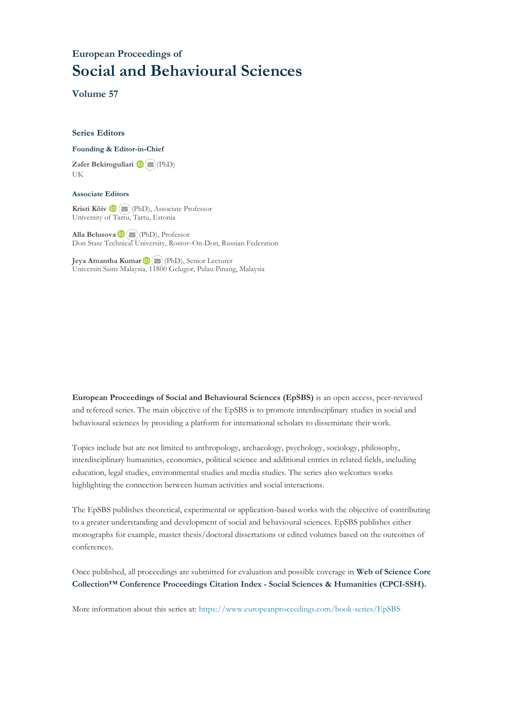## **European Proceedings of Social and Behavioural Sciences**

**Volume 57**

#### **Series Editors**

#### **Founding & Editor-in-Chief**

**Zafer Bekirogullari**(PhD) UK

#### **Associate Editors**

**Kristi Köiv** (PhD), Associate Professor University of Tartu, Tartu, Estonia

**Alla Belusova**(PhD), Professor Don State Technical University, Rostov-On-Don, Russian Federation

**Jeya Amantha Kumar**(PhD), Senior Lecturer Universiti Sains Malaysia, [1180](mailto:amantha@usm.my)0 Gelugor, Pulau Pinang, Malaysia

**European Proceedings of Social and Behavioural Sciences (EpSBS)** is an open access, peer-reviewed and refereed series. The main objective of the EpSBS is to promote interdisciplinary studies in social and behavioural sciences by providing a platform for international scholars to disseminate their work.

Topics include but are not limited to anthropology, archaeology, psychology, sociology, philosophy, interdisciplinary humanities, economics, political science and additional entries in related fields, including education, legal studies, environmental studies and media studies. The series also welcomes works highlighting the connection between human activities and social interactions.

The EpSBS publishes theoretical, experimental or application-based works with the objective of contributing to a greater understanding and development of social and behavioural sciences. EpSBS publishes either monographs for example, master thesis/doctoral dissertations or edited volumes based on the outcomes of conferences.

Once published, all proceedings are submitted for evaluation and possible coverage in **Web of [Science](https://clarivate.com/webofsciencegroup/solutions/webofscience-cpci/) Core Collection™ Conference Proceedings Citation Index - Social Sciences & Humanities [\(CPCI-SSH\).](https://clarivate.com/webofsciencegroup/solutions/webofscience-cpci/)**

More information about this series at[: https://www.europeanproceedings.com/book-series/EpSBS](https://www.europeanproceedings.com/book-series/EpSBS)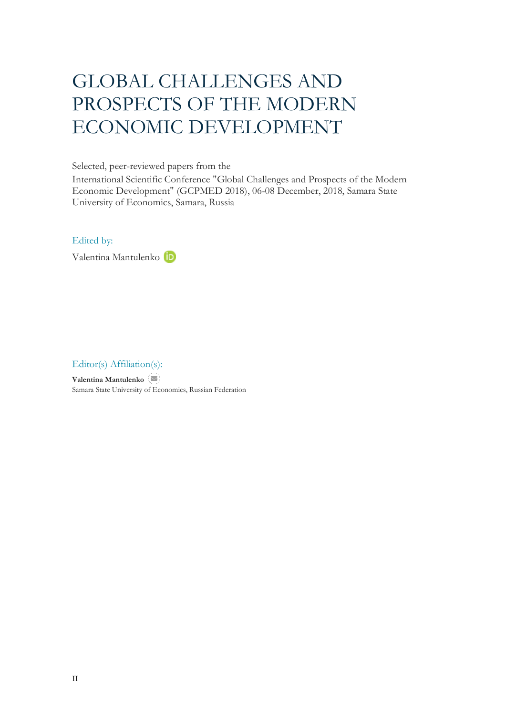# GLOBAL CHALLENGES AND PROSPECTS OF THE MODERN ECONOMIC DEVELOPMENT

Selected, peer-reviewed papers from the

International Scientific Conference "Global Challenges and Prospects of the Modern Economic Development" (GCPMED 2018), 06-08 December, 2018, Samara State University of Economics, Samara, Russia

### Edited by:

Valentina Mantulenko

## Editor(s) Affiliation(s):

**Valentina Mantulenko** Samara State University of Economics, Russian Federation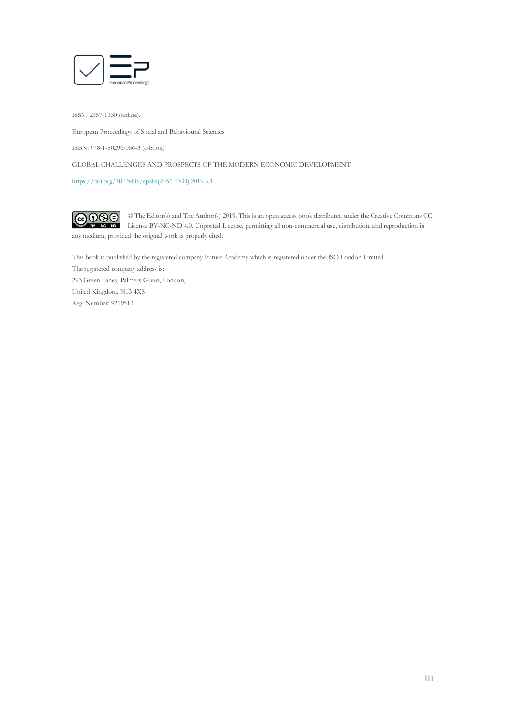

ISSN: 2357-1330 (online).

European Proceedings of Social and Behavioural Sciences

ISBN: 978-1-80296-056-3 (e-book)

GLOBAL CHALLENGES AND PROSPECTS OF THE MODERN ECONOMIC DEVELOPMENT

[https://doi.org/10.15405/epsbs\(2357-1330\).2019.3.1](https://doi.org/10.15405/epsbs(2357-1330).2019.3.1) 

 $G \odot \odot$ © The Editor(s) and The Author(s) 2019. This is an open access book distributed under the Creative Commons CC License BY-NC-ND 4.0. Unported License, permitting all non-commercial use, distribution, and reproduction in  $\overline{ND}$ any medium, provided the original work is properly cited.

This book is published by the registered company Future Academy which is registered under the ISO London Limited. The registered company address is: 293 Green Lanes, Palmers Green, London, United Kingdom, N13 4XS Reg. Number: 9219513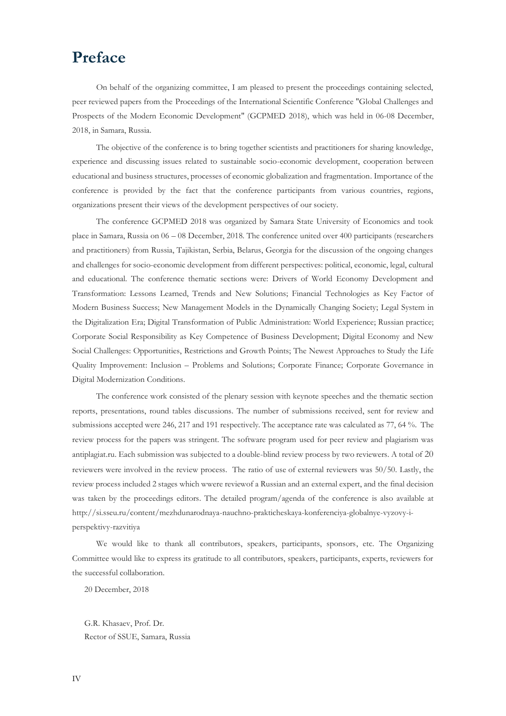## **Preface**

On behalf of the organizing committee, I am pleased to present the proceedings containing selected, peer reviewed papers from the Proceedings of the International Scientific Conference "Global Challenges and Prospects of the Modern Economic Development" (GCPMED 2018), which was held in 06-08 December, 2018, in Samara, Russia.

The objective of the conference is to bring together scientists and practitioners for sharing knowledge, experience and discussing issues related to sustainable socio-economic development, cooperation between educational and business structures, processes of economic globalization and fragmentation. Importance of the conference is provided by the fact that the conference participants from various countries, regions, organizations present their views of the development perspectives of our society.

The conference GCPMED 2018 was organized by Samara State University of Economics and took place in Samara, Russia on 06 – 08 December, 2018. The conference united over 400 participants (researchers and practitioners) from Russia, Tajikistan, Serbia, Belarus, Georgia for the discussion of the ongoing changes and challenges for socio-economic development from different perspectives: political, economic, legal, cultural and educational. The conference thematic sections were: Drivers of World Economy Development and Transformation: Lessons Learned, Trends and New Solutions; Financial Technologies as Key Factor of Modern Business Success; New Management Models in the Dynamically Changing Society; Legal System in the Digitalization Era; Digital Transformation of Public Administration: World Experience; Russian practice; Corporate Social Responsibility as Key Competence of Business Development; Digital Economy and New Social Challenges: Opportunities, Restrictions and Growth Points; The Newest Approaches to Study the Life Quality Improvement: Inclusion – Problems and Solutions; Corporate Finance; Corporate Governance in Digital Modernization Conditions.

The conference work consisted of the plenary session with keynote speeches and the thematic section reports, presentations, round tables discussions. The number of submissions received, sent for review and submissions accepted were 246, 217 and 191 respectively. The acceptance rate was calculated as 77, 64 %. The review process for the papers was stringent. The software program used for peer review and plagiarism was antiplagiat.ru. Each submission was subjected to a double-blind review process by two reviewers. A total of 20 reviewers were involved in the review process. The ratio of use of external reviewers was 50/50. Lastly, the review process included 2 stages which wwere reviewof a Russian and an external expert, and the final decision was taken by the proceedings editors. The detailed program/agenda of the conference is also available at http://si.sseu.ru/content/mezhdunarodnaya-nauchno-prakticheskaya-konferenciya-globalnye-vyzovy-iperspektivy-razvitiya

We would like to thank all contributors, speakers, participants, sponsors, etc. The Organizing Committee would like to express its gratitude to all contributors, speakers, participants, experts, reviewers for the successful collaboration.

20 December, 2018

G.R. Khasaev, Prof. Dr. Rector of SSUE, Samara, Russia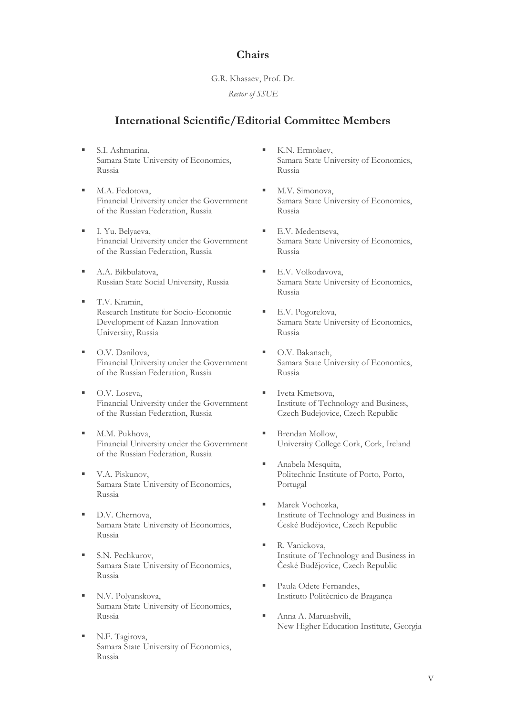## **Chairs**

## G.R. Khasaev, Prof. Dr.

*Rector of SSUE*

## **International Scientific/Editorial Committee Members**

- S.I. Ashmarina, Samara State University of Economics, Russia
- M.A. Fedotova, Financial University under the Government of the Russian Federation, Russia
- I. Yu. Belyaeva, Financial University under the Government of the Russian Federation, Russia
- A.A. Bikbulatova, Russian State Social University, Russia
- T.V. Kramin, Research Institute for Socio-Economic Development of Kazan Innovation University, Russia
- O.V. Danilova, Financial University under the Government of the Russian Federation, Russia
- O.V. Loseva, Financial University under the Government of the Russian Federation, Russia
- M.M. Pukhova, Financial University under the Government of the Russian Federation, Russia
- V.A. Piskunov, Samara State University of Economics, Russia
- D.V. Chernova, Samara State University of Economics, Russia
- S.N. Pechkurov, Samara State University of Economics, Russia
- N.V. Polyanskova, Samara State University of Economics, Russia
- N.F. Tagirova, Samara State University of Economics, Russia
- K.N. Ermolaev, Samara State University of Economics, Russia
- M.V. Simonova, Samara State University of Economics, Russia
- E.V. Medentseva, Samara State University of Economics, Russia
- E.V. Volkodavova, Samara State University of Economics, Russia
- E.V. Pogorelova, Samara State University of Economics, Russia
- O.V. Bakanach, Samara State University of Economics, Russia
- Iveta Kmetsova, Institute of Technology and Business, Czech Budejovice, Czech Republic
- Brendan Mollow, University College Cork, Cork, Ireland
- Anabela Mesquita, Politechnic Institute of Porto, Porto, Portugal
- Marek Vochozka, Institute of Technology and Business in České Budějovice, Czech Republic
- R. Vanickova, Institute of Technology and Business in České Budějovice, Czech Republic
- Paula Odete Fernandes, Instituto Politécnico de Bragança
- Anna A. Maruashvili, New Higher Education Institute, Georgia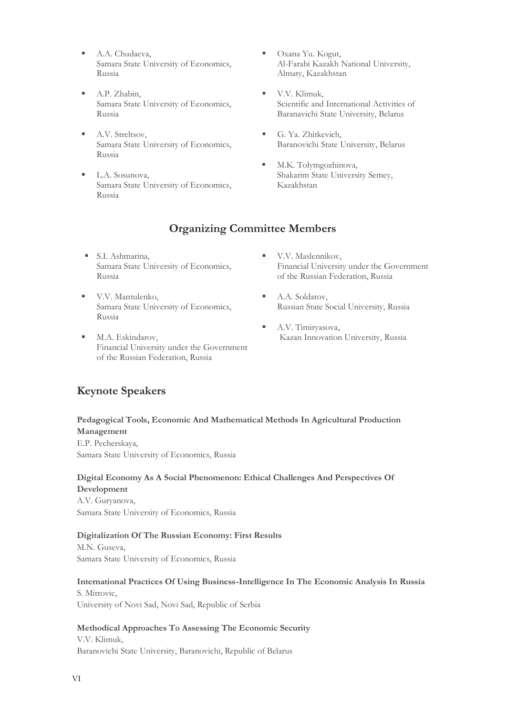- A.A. Chudaeva. Samara State University of Economics, Russia
- A.P. Zhabin, Samara State University of Economics, Russia
- A.V. Streltsov, Samara State University of Economics, Russia
- L.A. Sosunova, Samara State University of Economics, Russia
- Oxana Yu. Kogut, Al-Farabi Kazakh National University, Almaty, Kazakhstan
- V.V. Klimuk, Scientific and International Activities of Baranavichi State University, Belarus
- G. Ya. Zhitkevich, Baranovichi State University, Belarus
- M.K. Tolymgozhinova, Shakarim State University Semey, Kazakhstan

## **Organizing Committee Members**

- S.I. Ashmarina, Samara State University of Economics, Russia
- V.V. Mantulenko, Samara State University of Economics, Russia
- M.A. Eskindarov, Financial University under the Government of the Russian Federation, Russia
- V.V. Maslennikov, Financial University under the Government of the Russian Federation, Russia
- A.A. Soldatov, Russian State Social University, Russia
- A.V. Timiryasova, Kazan Innovation University, Russia

## **Keynote Speakers**

## **Pedagogical Tools, Economic And Mathematical Methods In Agricultural Production Management**

E.P. Pecherskaya, Samara State University of Economics, Russia

### **Digital Economy As A Social Phenomenon: Ethical Challenges And Perspectives Of Development**

A.V. Guryanova, Samara State University of Economics, Russia

## **Digitalization Of The Russian Economy: First Results**

M.N. Guseva, Samara State University of Economics, Russia

### **International Practices Of Using Business-Intelligence In The Economic Analysis In Russia**

S. Mitrovic, University of Novi Sad, Novi Sad, Republic of Serbia

## **Methodical Approaches To Assessing The Economic Security**

V.V. Klimuk, Baranovichi State University, Baranovichi, Republic of Belarus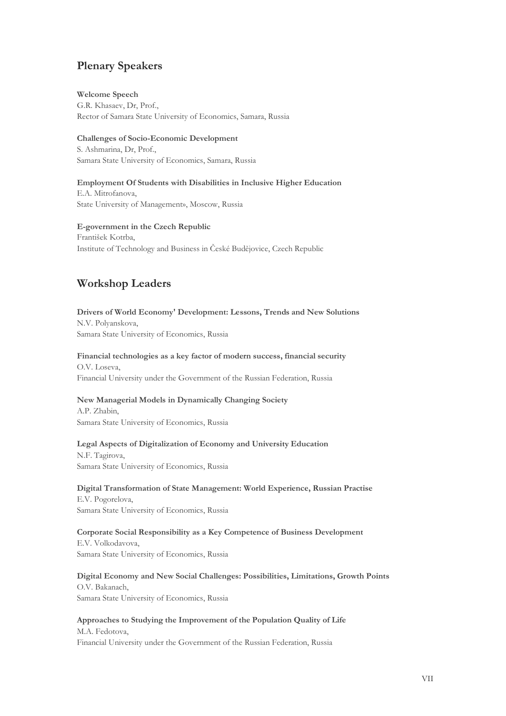## **Plenary Speakers**

### **Welcome Speech**

G.R. Khasaev, Dr, Prof., Rector of Samara State University of Economics, Samara, Russia

### **Challenges of Socio-Economic Development**

S. Ashmarina, Dr, Prof., Samara State University of Economics, Samara, Russia

#### **Employment Of Students with Disabilities in Inclusive Higher Education** E.A. Mitrofanova,

State University of Management», Moscow, Russia

## **E-government in the Czech Republic**

František Kotrba, Institute of Technology and Business in České Budějovice, Czech Republic

## **Workshop Leaders**

**Drivers of World Economy' Development: Lessons, Trends and New Solutions** N.V. Polyanskova, Samara State University of Economics, Russia

## **Financial technologies as a key factor of modern success, financial security** O.V. Loseva,

Financial University under the Government of the Russian Federation, Russia

### **New Managerial Models in Dynamically Changing Society**

A.P. Zhabin, Samara State University of Economics, Russia

### **Legal Aspects of Digitalization of Economy and University Education**

N.F. Tagirova, Samara State University of Economics, Russia

## **Digital Transformation of State Management: World Experience, Russian Practise**

E.V. Pogorelova, Samara State University of Economics, Russia

### **Corporate Social Responsibility as a Key Competence of Business Development** E.V. Volkodavova, Samara State University of Economics, Russia

## **Digital Economy and New Social Challenges: Possibilities, Limitations, Growth Points** O.V. Bakanach,

Samara State University of Economics, Russia

## **Approaches to Studying the Improvement of the Population Quality of Life** M.A. Fedotova,

Financial University under the Government of the Russian Federation, Russia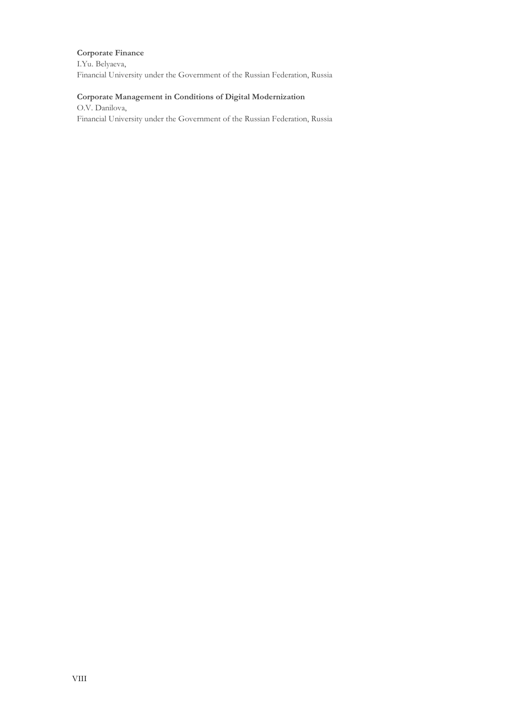### **Corporate Finance**

I.Yu. Belyaeva, Financial University under the Government of the Russian Federation, Russia

### **Corporate Management in Conditions of Digital Modernization**

O.V. Danilova, Financial University under the Government of the Russian Federation, Russia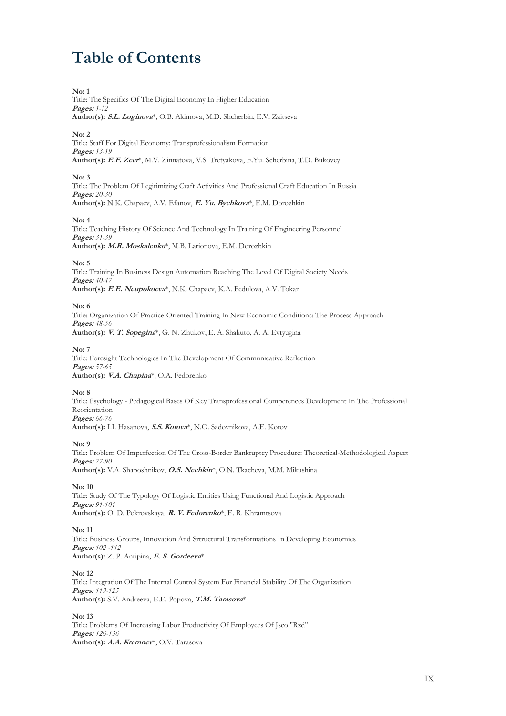# **Table of Contents**

Title: The Specifics Of The Digital Economy In Higher Education **Pages:** *1-12* **Author(s): S.L. Loginova**\*, O.B. Akimova, M.D. Shcherbin, E.V. Zaitseva **No: 2** Title: Staff For Digital Economy: Transprofessionalism Formation **Pages:** *13-19* **Author(s): E.F. Zeer**\*, M.V. Zinnatova, V.S. Tretyakova, E.Yu. Scherbina, T.D. Bukovey **No: 3** Title: The Problem Of Legitimizing Craft Activities And Professional Craft Education In Russia **Pages:** *20-30* **Author(s):** N.K. Chapaev, A.V. Efanov, **E. Yu. Bychkova**\*, E.M. Dorozhkin **No: 4** Title: Teaching History Of Science And Technology In Training Of Engineering Personnel **Pages:** *31-39* **Author(s): M.R. Moskalenko**\*, M.B. Larionova, E.M. Dorozhkin **No: 5** Title: Training In Business Design Automation Reaching The Level Of Digital Society Needs **Pages:** *40-47* **Author(s): E.E. Neupokoeva**\*, N.K. Chapaev, K.A. Fedulova, A.V. Tokar **No: 6** Title: Organization Of Practice-Oriented Training In New Economic Conditions: The Process Approach **Pages:** *48-56* **Author(s): V. T. Sopegina**\*, G. N. Zhukov, E. A. Shakuto, A. А. Evtyugina **No: 7** Title: Foresight Technologies In The Development Of Communicative Reflection **Pages:** *57-65* **Author(s): V.A. Chupina**\*, O.A. Fedorenko

#### **No: 8**

**No: 1**

Title: Psychology - Pedagogical Bases Of Key Transprofessional Competences Development In The Professional Reorientation **Pages:** *66-76* **Author(s):** I.I. Нasanova, **S.S. Kotova**\*, N.O. Sadovnikova, A.E. Kotov

#### **No: 9**

Title: Problem Of Imperfection Of The Cross-Border Bankruptcy Procedure: Theoretical-Methodological Aspect **Pages:** *77-90* **Author(s):** V.A. Shaposhnikov, **O.S. Nechkin**\*, O.N. Tkacheva, M.M. Mikushina

**No: 10**

Title: Study Of The Typology Of Logistic Entities Using Functional And Logistic Approach **Pages:** *91-101* **Author(s):** O. D. Pokrovskaya, **R. V. Fedorenko**\*, E. R. Khramtsova

#### **No: 11**

Title: Business Groups, Innovation And Srtructural Transformations In Developing Economies **Pages:** *102 -112* **Author(s):** Z. P. Antipina, **E. S. Gordeeva**\*

**No: 12**

Title: Integration Of The Internal Control System For Financial Stability Of The Organization **Pages:** *113-125* **Author(s):** S.V. Andreeva, E.E. Popova, **T.M. Tarasova**\*

**No: 13**

Title: Problems Of Increasing Labor Productivity Of Employees Of Jsco "Rzd" **Pages:** *126-136* **Author(s): A.A. Kremnev**\*, O.V. Tarasova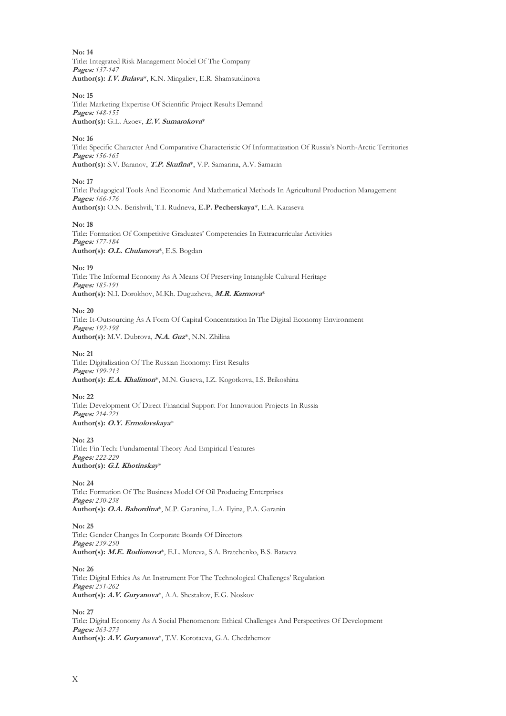**No: 14** Title: Integrated Risk Management Model Of The Company **Pages:** *137-147* **Author(s): I.V. Bulava**\*, K.N. Mingaliev, E.R. Shamsutdinova

**No: 15**

Title: Marketing Expertise Of Scientific Project Results Demand **Pages:** *148-155* **Author(s):** G.L. Azoev, **E.V. Sumarokova**\*

**No: 16**

Title: Specific Character And Comparative Characteristic Of Informatization Of Russia's North-Arctic Territories **Pages:** *156-165* **Author(s):** S.V. Baranov, **T.P. Skufina**\*, V.P. Samarina, A.V. Samarin

**No: 17**

Title: Pedagogical Tools And Economic And Mathematical Methods In Agricultural Production Management **Pages:** *166-176* **Author(s):** O.N. Berishvili, T.I. Rudneva, **E.P. Pecherskaya**\*, E.A. Karaseva

**No: 18**

Title: Formation Of Competitive Graduates' Competencies In Extracurricular Activities **Pages:** *177-184* **Author(s): O.L. Сhulanova**\*, E.S. Bogdan

**No: 19**

Title: The Informal Economy As A Means Of Preserving Intangible Cultural Heritage **Pages:** *185-191* **Author(s):** N.I. Dorokhov, M.Kh. Duguzheva, **M.R. Karmova**\*

**No: 20** Title: It-Outsourcing As A Form Of Capital Concentration In The Digital Economy Environment **Pages:** *192-198* **Author(s):** M.V. Dubrova, **N.A. Guz**\*, N.N. Zhilina

**No: 21**

Title: Digitalization Of The Russian Economy: First Results **Pages:** *199-213* **Author(s): E.A. Khalimon**\*, M.N. Guseva, I.Z. Kogotkova, I.S. Brikoshina

**No: 22** Title: Development Of Direct Financial Support For Innovation Projects In Russia **Pages:** *214-221* **Author(s): O.Y. Ermolovskaya**\*

**No: 23** Title: Fin Tech: Fundamental Theory And Empirical Features **Pages:** *222-229* **Author(s): G.I. Khotinskay**\*

**No: 24** Title: Formation Of The Business Model Of Oil Producing Enterprises **Pages:** *230-238* **Author(s): O.A. Babordina**\*, M.P. Garanina, L.A. Ilyina, P.A. Garanin

**No: 25** Title: Gender Changes In Corporate Boards Of Directors **Pages:** *239-250* **Author(s): M.E. Rodionova**\*, E.L. Moreva, S.A. Bratchenko, B.S. Bataeva

**No: 26** Title: Digital Ethics As An Instrument For The Technological Challenges' Regulation **Pages:** *251-262* **Author(s): A.V. Guryanova**\*, A.A. Shestakov, E.G. Noskov

**No: 27** Title: Digital Economy As A Social Phenomenon: Ethical Challenges And Perspectives Of Development **Pages:** *263-273* **Author(s): A.V. Guryanova**\*, T.V. Korotaeva, G.A. Chedzhemov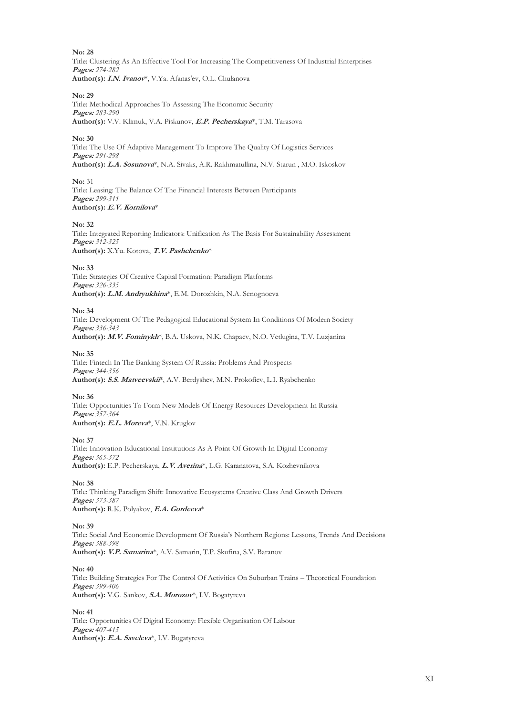**No: 28** Title: Clustering As An Effective Tool For Increasing The Competitiveness Of Industrial Enterprises **Pages:** *274-282* **Author(s): I.N. Ivanov**\*, V.Ya. Afanas'ev, O.L. Сhulanova

**No: 29** Title: Methodical Approaches To Assessing The Economic Security **Pages:** *283-290* **Author(s):** V.V. Klimuk, V.A. Piskunov, **E.P. Pecherskaya**\*, T.M. Tarasova

**No: 30**

Title: The Use Of Adaptive Management To Improve The Quality Of Logistics Services **Pages:** *291-298* **Author(s): L.A. Sosunova**\*, N.A. Sivaks, A.R. Rakhmatullina, N.V. Starun , M.O. Iskoskov

**No:** 31 Title: Leasing: The Balance Of The Financial Interests Between Participants **Pages:** *299-311* **Author(s): E.V. Kornilova**\*

**No: 32**

Title: Integrated Reporting Indicators: Unification As The Basis For Sustainability Assessment **Pages:** *312-325* **Author(s):** X.Yu. Kotova, **T.V. Pashchenko**\*

**No: 33**

Title: Strategies Of Creative Capital Formation: Paradigm Platforms **Pages:** *326-335* **Author(s): L.M. Andryukhina**\*, E.M. Dorozhkin, N.A. Senognoeva

**No: 34**

Title: Development Of The Pedagogical Educational System In Conditions Of Modern Society **Pages:** *336-343*

**Author(s): M.V. Fominykh**\*, B.A. Uskova, N.K. Chapaev, N.O. Vetlugina, T.V. Luzjanina

**No: 35**

Title: Fintech In The Banking System Of Russia: Problems And Prospects **Pages:** *344-356* **Author(s): S.S. Matveevskii**\*, A.V. Berdyshev, M.N. Prokofiev, L.I. Ryabchenko

**No: 36**

Title: Opportunities To Form New Models Of Energy Resources Development In Russia **Pages:** *357-364* **Author(s): E.L. Moreva**\*, V.N. Kruglov

**No: 37**

Title: Innovation Educational Institutions As A Point Of Growth In Digital Economy **Pages:** *365-372* **Author(s):** E.P. Pecherskaya, **L.V. Averina**\*, L.G. Karanatova, S.A. Kozhevnikova

**No: 38**

Title: Thinking Paradigm Shift: Innovative Ecosystems Creative Class And Growth Drivers **Pages:** *373-387* **Author(s):** R.K. Polyakov, **E.A. Gordeeva**\*

**No: 39**

Title: Social And Economic Development Of Russia's Northern Regions: Lessons, Trends And Decisions **Pages:** *388-398* **Author(s): V.P. Samarina**\*, A.V. Samarin, T.P. Skufina, S.V. Baranov

**No: 40**

Title: Building Strategies For The Control Of Activities On Suburban Trains – Theoretical Foundation **Pages:** *399-406* **Author(s):** V.G. Sankov, **S.A. Morozov**\*, I.V. Bogatyreva

**No: 41** Title: Opportunities Of Digital Economy: Flexible Organisation Of Labour **Pages:** *407-415* **Author(s): E.A. Saveleva**\*, I.V. Bogatyreva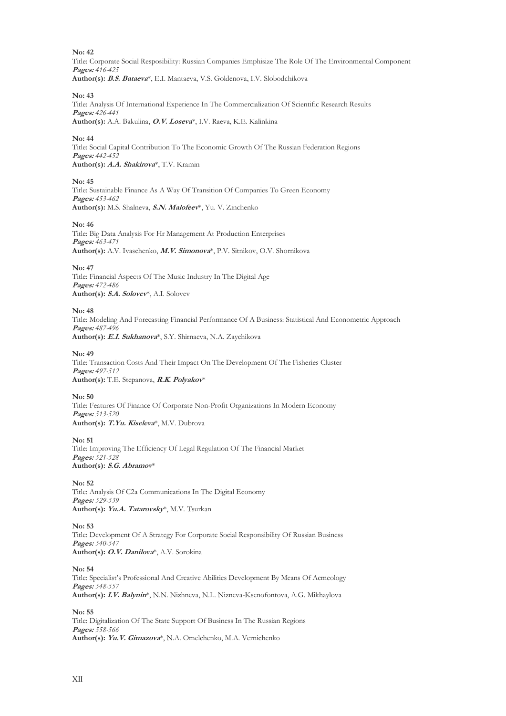**No: 42** Title: Corporate Social Resposibility: Russian Companies Emphisize The Role Of The Environmental Component **Pages:** *416-425* **Author(s): B.S. Bataeva**\*, E.I. Mantaeva, V.S. Goldenova, I.V. Slobodchikova

#### **No: 43**

Title: Analysis Of International Experience In The Commercialization Of Scientific Research Results **Pages:** *426-441* **Author(s):** A.A. Bakulina, **O.V. Loseva**\*, I.V. Raeva, K.E. Kalinkina

#### **No: 44**

Title: Social Capital Contribution To The Economic Growth Of The Russian Federation Regions **Pages:** *442-452* **Author(s): A.A. Shakirova**\*, T.V. Kramin

#### **No: 45**

Title: Sustainable Finance As A Way Of Transition Of Companies To Green Economy **Pages:** *453-462* **Author(s):** M.S. Shalneva, **S.N. Malofeev**\*, Yu. V. Zinchenko

#### **No: 46**

Title: Big Data Analysis For Hr Management At Production Enterprises **Pages:** *463-471* **Author(s):** A.V. Ivaschenko, **M.V. Simonova**\*, P.V. Sitnikov, O.V. Shornikova

#### **No: 47**

Title: Financial Aspects Of The Music Industry In The Digital Age **Pages:** *472-486* **Author(s): S.A. Solovev**\*, A.I. Solovev

#### **No: 48**

Title: Modeling And Forecasting Financial Performance Of A Business: Statistical And Econometric Approach **Pages:** *487-496* **Author(s): E.I. Sukhanova**\*, S.Y. Shirnaeva, N.A. Zaychikova

#### **No: 49**

Title: Transaction Costs And Their Impact On The Development Of The Fisheries Cluster **Pages:** *497-512* **Author(s):** T.E. Stepanova, **R.K. Polyakov**\*

#### **No: 50**

Title: Features Of Finance Of Corporate Non-Profit Organizations In Modern Economy **Pages:** *513-520* **Author(s): T.Yu. Kiseleva**\*, M.V. Dubrova

**No: 51** Title: Improving The Efficiency Of Legal Regulation Of The Financial Market **Pages:** *521-528* **Author(s): S.G. Abramov**\*

#### **No: 52** Title: Analysis Of С2a Communications In The Digital Economy **Pages:** *529-539* **Author(s): Yu.A. Tatarovsky**\*, M.V. Tsurkan

**No: 53** Title: Development Of A Strategy For Corporate Social Responsibility Of Russian Business **Pages:** *540-547* **Author(s): O.V. Danilova**\*, A.V. Sorokina

**No: 54**

Title: Specialist's Professional And Creative Abilities Development By Means Of Acmeology **Pages:** *548-557* **Author(s): I.V. Balynin**\*, N.N. Nizhneva, N.L. Nizneva-Ksenofontova, A.G. Mikhaylova

**No: 55**

Title: Digitalization Of The State Support Of Business In The Russian Regions **Pages:** *558-566* **Author(s): Yu.V. Gimazova**\*, N.A. Omelchenko, M.A. Vernichenko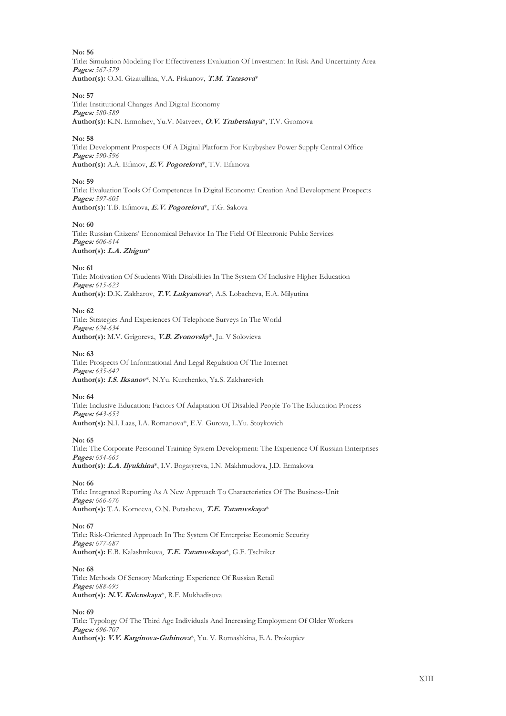**No: 56** Title: Simulation Modeling For Effectiveness Evaluation Of Investment In Risk And Uncertainty Area **Pages:** *567-579* **Author(s):** O.M. Gizatullina, V.A. Piskunov, **T.M. Tarasova**\*

#### **No: 57**

Title: Institutional Changes And Digital Economy **Pages:** *580-589* **Author(s):** K.N. Ermolaev, Yu.V. Matveev, **O.V. Trubetskaya**\*, T.V. Gromova

#### **No: 58**

Title: Development Prospects Of A Digital Platform For Kuybyshev Power Supply Central Office **Pages:** *590-596* **Author(s):** A.A. Efimov, **E.V. Pogorelova**\*, T.V. Efimova

#### **No: 59**

Title: Evaluation Tools Of Competences In Digital Economy: Creation And Development Prospects **Pages:** *597-605* **Author(s):** T.B. Efimova, **E.V. Pogorelova**\*, T.G. Sakova

#### **No: 60**

Title: Russian Citizens' Economical Behavior In The Field Of Electronic Public Services **Pages:** *606-614* **Author(s): L.A. Zhigun**\*

#### **No: 61**

Title: Motivation Of Students With Disabilities In The System Of Inclusive Higher Education **Pages:** *615-623* **Author(s):** D.K. Zakharov, **T.V. Lukyanova**\*, A.S. Lobacheva, E.A. Milyutina

#### **No: 62**

Title: Strategies And Experiences Of Telephone Surveys In The World **Pages:** *624-634* **Author(s):** M.V. Grigoreva, **V.B. Zvonovsky**\*, Ju. V Solovieva

#### **No: 63**

Title: Prospects Of Informational And Legal Regulation Of The Internet **Pages:** *635-642* **Author(s): I.S. Iksanov**\*, N.Yu. Kurchenko, Ya.S. Zakharevich

#### **No: 64**

Title: Inclusive Education: Factors Of Adaptation Of Disabled People To The Education Process **Pages:** *643-653* **Author(s):** N.I. Laas, I.A. Romanova\*, E.V. Gurova, L.Yu. Stoykovich

#### **No: 65**

Title: The Corporate Personnel Training System Development: The Experience Of Russian Enterprises **Pages:** *654-665* **Author(s): L.A. Ilyukhina**\*, I.V. Bogatyreva, I.N. Makhmudova, J.D. Ermakova

#### **No: 66**

Title: Integrated Reporting As A New Approach To Characteristics Of The Business-Unit **Pages:** *666-676* **Author(s):** T.A. Korneeva, O.N. Potasheva, **T.E. Tatarovskaya**\*

#### **No: 67**

Title: Risk-Oriented Approach In The System Of Enterprise Economic Security **Pages:** *677-687* **Author(s):** E.B. Kalashnikova, **T.E. Tatarovskaya**\*, G.F. Tselniker

#### **No: 68**

Title: Methods Of Sensory Marketing: Experience Of Russian Retail **Pages:** *688-695* **Author(s): N.V. Kalenskaya**\*, R.F. Mukhadisova

#### **No: 69**

Title: Typology Of The Third Age Individuals And Increasing Employment Of Older Workers **Pages:** *696-707* **Author(s): V.V. Karginova-Gubinova**\*, Yu. V. Romashkina, E.A. Prokopiev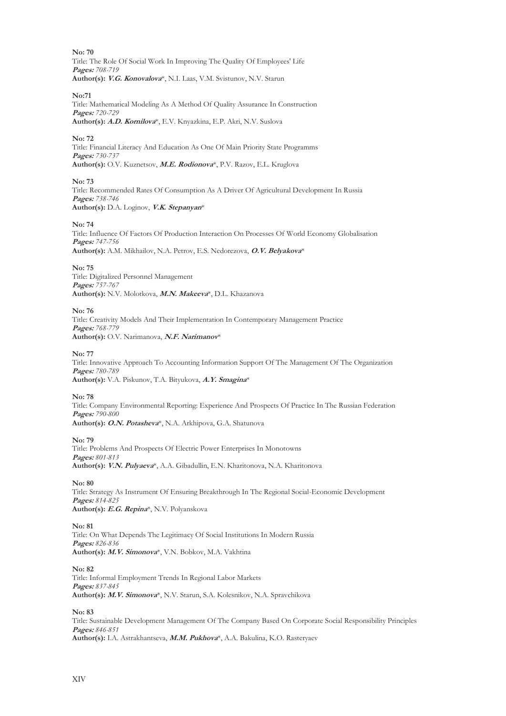**No: 70** Title: The Role Of Social Work In Improving The Quality Of Employees' Life **Pages:** *708-719* **Author(s): V.G. Konovalova**\*, N.I. Laas, V.M. Svistunov, N.V. Starun

**No:71** Title: Mathematical Modeling As A Method Of Quality Assurance In Construction **Pages:** *720-729* **Author(s): A.D. Kornilova**\*, E.V. Knyazkina, E.P. Akri, N.V. Suslova

**No: 72**

Title: Financial Literacy And Education As One Of Main Priority State Programms **Pages:** *730-737* **Author(s):** O.V. Kuznetsov, **M.E. Rodionova**\*, P.V. Razov, E.L. Kruglova

**No: 73**

Title: Recommended Rates Of Consumption As A Driver Of Agricultural Development In Russia **Pages:** *738-746* **Author(s):** D.A. Loginov, **V.K. Stepanyan**\*

**No: 74**

Title: Influence Of Factors Of Production Interaction On Processes Of World Economy Globalisation **Pages:** *747-756* **Author(s):** A.M. Мikhailov, N.A. Petrov, E.S. Nedorezova, **O.V. Belyakova**\*

**No: 75**

Title: Digitalized Personnel Management **Pages:** *757-767* **Author(s):** N.V. Molotkova, **M.N. Makeeva**\*, D.L. Khazanova

**No: 76**

Title: Creativity Models And Their Implementation In Contemporary Management Practice **Pages:** *768-779* **Author(s):** O.V. Narimanova, **N.F. Narimanov**\*

**No: 77**

Title: Innovative Approach To Accounting Information Support Of The Management Of The Organization **Pages:** *780-789* **Author(s):** V.A. Piskunov, T.A. Bityukova, **A.Y. Smagina**\*

**No: 78**

Title: Company Environmental Reporting: Experience And Prospects Of Practice In The Russian Federation **Pages:** *790-800* **Author(s): O.N. Potasheva**\*, N.A. Arkhipova, G.A. Shatunova

**No: 79** Title: Problems And Prospects Of Electric Power Enterprises In Monotowns **Pages:** *801-813* **Author(s): V.N. Pulyaeva**\*, A.A. Gibadullin, E.N. Kharitonova, N.A. Kharitonova

**No: 80**

Title: Strategy As Instrument Of Ensuring Breakthrough In The Regional Social-Economic Development **Pages:** *814-825* **Author(s): E.G. Repina**\*, N.V. Polyanskova

**No: 81**

Title: On What Depends The Legitimacy Of Social Institutions In Modern Russia **Pages:** *826-836* **Author(s): M.V. Simonova**\*, V.N. Bobkov, M.A. Vakhtina

**No: 82**

Title: Informal Employment Trends In Regional Labor Markets **Pages:** *837-845* **Author(s): M.V. Simonova**\*, N.V. Starun, S.A. Kolesnikov, N.A. Spravchikova

**No: 83**

Title: Sustainable Development Management Of The Company Based On Corporate Social Responsibility Principles **Pages:** *846-851* **Author(s):** I.A. Astrakhantseva, **M.M. Pukhova**\*, A.A. Bakulina, K.O. Rasteryaev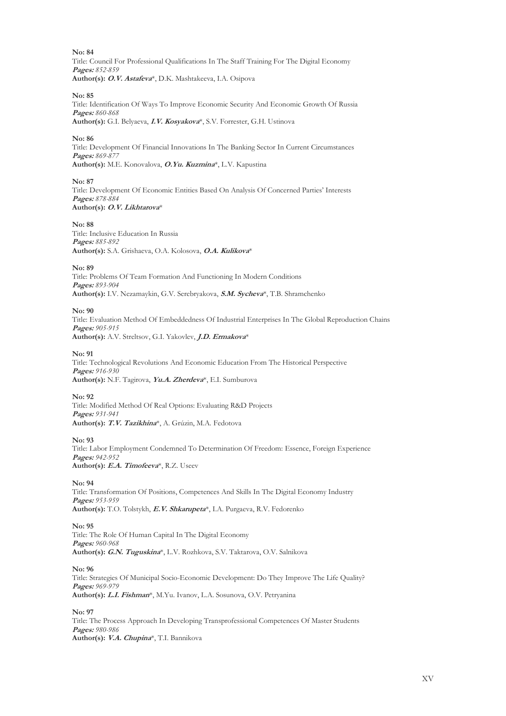**No: 84** Title: Council For Professional Qualifications In The Staff Training For The Digital Economy **Pages:** *852-859* **Author(s): O.V. Astafeva**\*, D.K. Mashtakeeva, I.A. Osipova

**No: 85**

Title: Identification Of Ways To Improve Economic Security And Economic Growth Of Russia **Pages:** *860-868* **Author(s):** G.I. Belyaeva, **I.V. Kosyakova**\*, S.V. Forrester, G.H. Ustinova

**No: 86**

Title: Development Of Financial Innovations In The Banking Sector In Current Circumstances **Pages:** *869-877* **Author(s):** M.E. Konovalova, **O.Yu. Kuzmina**\*, L.V. Kapustina

**No: 87**

Title: Development Of Economic Entities Based On Analysis Of Concerned Parties' Interests **Pages:** *878-884* **Author(s): O.V. Likhtarova**\*

**No: 88**

Title: Inclusive Education In Russia **Pages:** *885-892* **Author(s):** S.A. Grishaeva, O.A. Kolosova, **O.A. Kulikova**\*

**No: 89**

Title: Problems Of Team Formation And Functioning In Modern Conditions **Pages:** *893-904* **Author(s):** I.V. Nezamaykin, G.V. Serebryakova, **S.M. Sycheva**\*, T.B. Shramchenko

**No: 90**

Title: Evaluation Method Of Embeddedness Of Industrial Enterprises In The Global Reproduction Chains **Pages:** *905-915* **Author(s):** A.V. Streltsov, G.I. Yakovlev, **J.D. Ermakova**\*

**No: 91**

Title: Technological Revolutions And Economic Education From The Historical Perspective **Pages:** *916-930* **Author(s):** N.F. Tagirova, **Yu.A. Zherdeva**\*, E.I. Sumburova

**No: 92**

Title: Modified Method Of Real Options: Evaluating R&D Projects **Pages:** *931-941* Author(s): T.V. Tazikhina<sup>\*</sup>, A. Grúzin, M.A. Fedotova

**No: 93**

Title: Labor Employment Condemned To Determination Of Freedom: Essence, Foreign Experience **Pages:** *942-952* **Author(s): E.A. Timofeeva**\*, R.Z. Useev

**No: 94**

Title: Transformation Of Positions, Competences And Skills In The Digital Economy Industry **Pages:** *953-959* **Author(s):** T.O. Tolstykh, **E.V. Shkarupeta**\*, I.A. Purgaeva, R.V. Fedorenko

**No: 95** Title: The Role Of Human Capital In The Digital Economy **Pages:** *960-968* **Author(s): G.N. Tuguskina**\*, L.V. Rozhkova, S.V. Taktarova, O.V. Salnikova

**No: 96**

Title: Strategies Of Municipal Socio-Economic Development: Do They Improve The Life Quality? **Pages:** *969-979* **Author(s): L.I. Fishman**\*, M.Yu. Ivanov, L.A. Sosunova, O.V. Petryanina

**No: 97** Title: The Process Approach In Developing Transprofessional Competences Of Master Students **Pages:** *980-986* **Author(s): V.A. Chupina**\*, T.I. Bannikova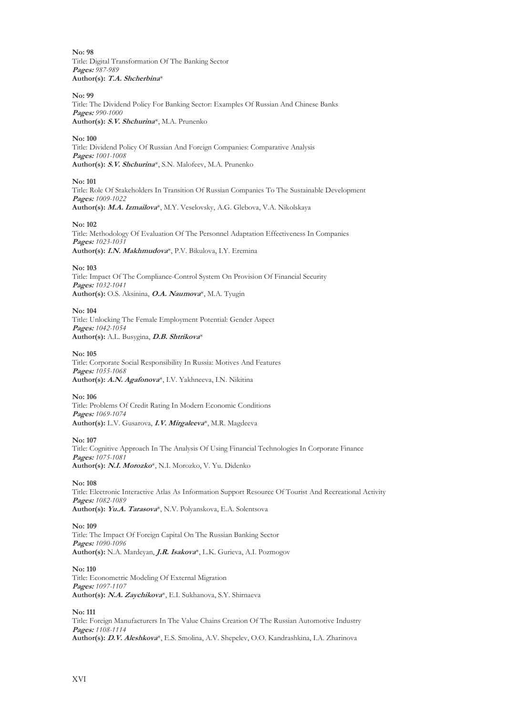**No: 98** Title: Digital Transformation Of The Banking Sector **Pages:** *987-989* **Author(s): T.A. Shcherbina**\*

**No: 99**

Title: The Dividend Policy For Banking Sector: Examples Of Russian And Chinese Banks **Pages:** *990-1000* **Author(s): S.V. Shchurina**\*, M.A. Prunenko

**No: 100**

Title: Dividend Policy Of Russian And Foreign Companies: Comparative Analysis **Pages:** *1001-1008* **Author(s): S.V. Shchurina**\*, S.N. Malofeev, M.A. Prunenko

**No: 101**

Title: Role Of Stakeholders In Transition Of Russian Companies To The Sustainable Development **Pages:** *1009-1022* **Author(s): M.A. Izmailova**\*, M.Y. Veselovsky, A.G. Glеbova, V.A. Nikolskaya

**No: 102**

Title: Methodology Of Evaluation Of The Personnel Adaptation Effectiveness In Companies **Pages:** *1023-1031* **Author(s): I.N. Makhmudova**\*, P.V. Bikulova, I.Y. Eremina

**No: 103**

Title: Impact Of The Compliance-Control System On Provision Of Financial Security **Pages:** *1032-1041* **Author(s):** O.S. Aksinina, **O.A. Naumova**\*, M.A. Tyugin

**No: 104** Title: Unlocking The Female Employment Potential: Gender Aspect **Pages:** *1042-1054* **Author(s):** A.L. Busygina, **D.B. Shtrikova**\*

**No: 105**

Title: Corporate Social Responsibility In Russia: Motives And Features **Pages:** *1055-1068* **Author(s): A.N. Agafonova**\*, I.V. Yakhneeva, I.N. Nikitina

**No: 106** Title: Problems Of Credit Rating In Modern Economic Conditions **Pages:** *1069-1074* **Author(s):** L.V. Gusarova, **I.V. Mirgaleeva**\*, M.R. Magdeeva

**No: 107** Title: Cognitive Approach In The Analysis Of Using Financial Technologies In Corporate Finance **Pages:** *1075-1081* **Author(s): N.I. Morozko**\*, N.I. Morozko, V. Yu. Didenko

**No: 108**

Title: Electronic Interactive Atlas As Information Support Resource Of Tourist And Recreational Activity **Pages:** *1082-1089* **Author(s): Yu.A. Tarasova**\*, N.V. Polyanskova, E.A. Solentsova

**No: 109**

Title: The Impact Of Foreign Capital On The Russian Banking Sector **Pages:** *1090-1096* **Author(s):** N.A. Mardeyan, **J.R. Isakova**\*, L.K. Gurieva, A.I. Pozmogov

**No: 110** Title: Econometric Modeling Of External Migration **Pages:** *1097-1107* **Author(s): N.A. Zaychikova**\*, E.I. Sukhanova, S.Y. Shirnaeva

**No: 111**

Title: Foreign Manufacturers In The Value Chains Creation Of The Russian Automotive Industry **Pages:** *1108-1114* **Author(s): D.V. Aleshkova**\*, E.S. Smolina, A.V. Shepelev, O.O. Kandrashkina, I.A. Zharinova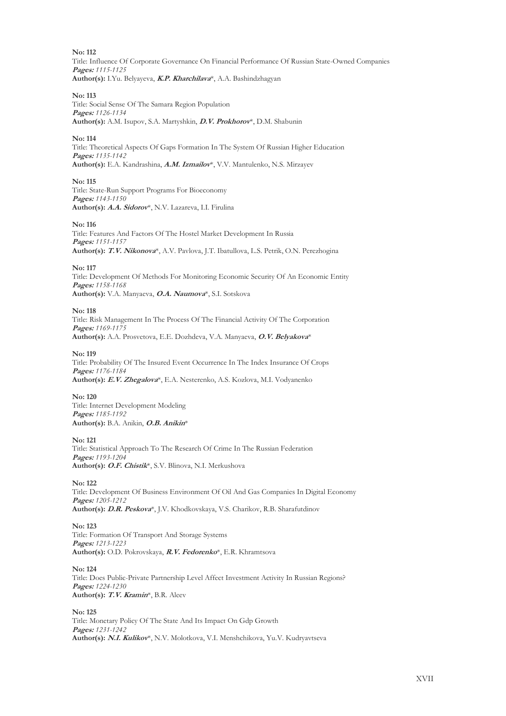**No: 112** Title: Influence Of Corporate Governance On Financial Performance Of Russian State-Owned Companies **Pages:** *1115-1125* **Author(s):** I.Yu. Belyayeva, **K.P. Kharchilava**\*, A.A. Bashindzhagyan

#### **No: 113**

Title: Social Sense Of The Samara Region Population **Pages:** *1126-1134* **Author(s):** A.M. Isupov, S.A. Martyshkin, **D.V. Prokhorov**\*, D.M. Shabunin

#### **No: 114**

Title: Theoretical Aspects Of Gaps Formation In The System Of Russian Higher Education **Pages:** *1135-1142* **Author(s):** E.A. Kandrashina, **A.M. Izmailov**\*, V.V. Mantulenko, N.S. Mirzayev

#### **No: 115**

Title: State-Run Support Programs For Bioeconomy **Pages:** *1143-1150* **Author(s): A.A. Sidorov**\*, N.V. Lazareva, I.I. Firulina

#### **No: 116**

Title: Features And Factors Of The Hostel Market Development In Russia **Pages:** *1151-1157* **Author(s): T.V. Nikonova**\*, A.V. Pavlova, J.T. Ibatullova, L.S. Petrik, O.N. Perezhogina

#### **No: 117**

Title: Development Of Methods For Monitoring Economic Security Of An Economic Entity **Pages:** *1158-1168* **Author(s):** V.A. Manyaeva, **O.A. Naumova**\*, S.I. Sotskova

#### **No: 118**

Title: Risk Management In The Process Of The Financial Activity Of The Corporation **Pages:** *1169-1175* **Author(s):** A.A. Prosvetova, E.E. Dozhdeva, V.A. Manyaeva, **O.V. Belyakova**\*

#### **No: 119**

Title: Probability Of The Insured Event Occurrence In The Index Insurance Of Crops **Pages:** *1176-1184* **Author(s): E.V. Zhegalova**\*, E.A. Nesterenko, A.S. Kozlova, M.I. Vodyanenko

**No: 120** Title: Internet Development Modeling **Pages:** *1185-1192* **Author(s):** B.A. Anikin, **O.B. Anikin**\*

#### **No: 121**

Title: Statistical Approach To The Research Of Crime In The Russian Federation **Pages:** *1193-1204* **Author(s): O.F. Chistik**\*, S.V. Blinova, N.I. Merkushova

#### **No: 122**

Title: Development Of Business Environment Of Oil And Gas Companies In Digital Economy **Pages:** *1205-1212* **Author(s): D.R. Peskova**\*, J.V. Khodkovskaya, V.S. Charikov, R.B. Sharafutdinov

#### **No: 123**

Title: Formation Of Transport And Storage Systems **Pages:** *1213-1223* **Author(s):** O.D. Pokrovskaya, **R.V. Fedorenko**\*, E.R. Khramtsova

#### **No: 124**

Title: Does Public-Private Partnership Level Affect Investment Activity In Russian Regions? **Pages:** *1224-1230* **Author(s): T.V. Kramin**\*, B.R. Aleev

#### **No: 125**

Title: Monetary Policy Of The State And Its Impact On Gdp Growth **Pages:** *1231-1242* **Author(s): N.I. Kulikov**\*, N.V. Molotkova, V.I. Menshchikova, Yu.V. Kudryavtseva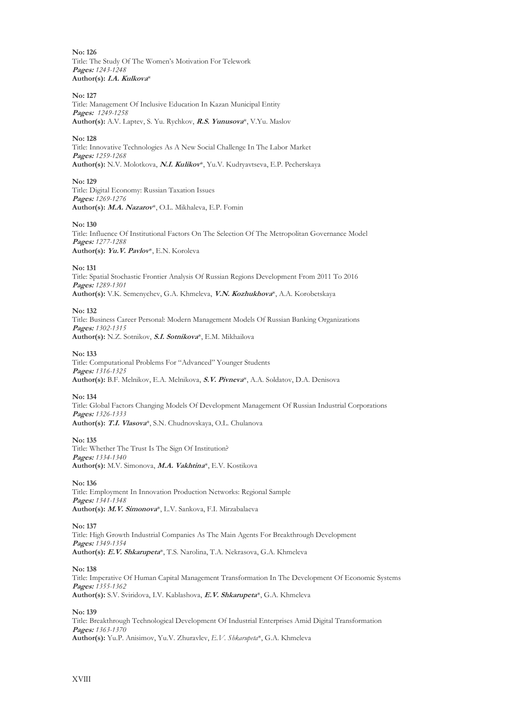**No: 126** Title: The Study Of The Women's Motivation For Telework **Pages:** *1243-1248* **Author(s): I.A. Kulkova**\*

**No: 127**

Title: Management Of Inclusive Education In Kazan Municipal Entity **Pages:** *1249-1258* **Author(s):** A.V. Laptev, S. Yu. Rychkov, **R.S. Yunusova**\*, V.Yu. Maslov

#### **No: 128**

Title: Innovative Technologies As A New Social Challenge In The Labor Market **Pages:** *1259-1268* **Author(s):** N.V. Molotkova, **N.I. Kulikov**\*, Yu.V. Kudryavtseva, E.P. Pecherskaya

#### **No: 129**

Title: Digital Economy: Russian Taxation Issues **Pages:** *1269-1276* **Author(s): M.A. Nazarov**\*, O.L. Mikhaleva, E.P. Fomin

#### **No: 130**

Title: Influence Of Institutional Factors On The Selection Of The Metropolitan Governance Model **Pages:** *1277-1288* **Author(s): Yu.V. Pavlov**\*, E.N. Koroleva

#### **No: 131**

Title: Spatial Stochastic Frontier Analysis Of Russian Regions Development From 2011 To 2016 **Pages:** *1289-1301* **Author(s):** V.K. Semenychev, G.A. Khmeleva, **V.N. Kozhukhova**\*, A.A. Korobetskaya

#### **No: 132**

Title: Business Career Personal: Modern Management Models Of Russian Banking Organizations **Pages:** *1302-1315* **Author(s):** N.Z. Sotnikov, **S.I. Sotnikova**\*, E.M. Mikhailova

#### **No: 133**

Title: Computational Problems For "Advanced" Younger Students **Pages:** *1316-1325* **Author(s):** B.F. Melnikov, E.A. Melnikova, **S.V. Pivneva**\*, A.A. Soldatov, D.A. Denisova

#### **No: 134**

Title: Global Factors Changing Models Of Development Management Of Russian Industrial Corporations **Pages:** *1326-1333* **Author(s): T.I. Vlasova**\*, S.N. Chudnovskaya, O.L. Chulanova

**No: 135** Title: Whether The Trust Is The Sign Of Institution? **Pages:** *1334-1340* **Author(s):** M.V. Simonova, **M.A. Vakhtina**\*, E.V. Kostikova

#### **No: 136**

Title: Employment In Innovation Production Networks: Regional Sample **Pages:** *1341-1348* **Author(s): M.V. Simonova**\*, L.V. Sankova, F.I. Mirzabalaeva

#### **No: 137**

Title: High Growth Industrial Companies As The Main Agents For Breakthrough Development **Pages:** *1349-1354* **Author(s): E.V. Shkarupeta**\*, T.S. Narolina, T.A. Nekrasova, G.A. Khmeleva

#### **No: 138**

Title: Imperative Of Human Capital Management Transformation In The Development Of Economic Systems **Pages:** *1355-1362* **Author(s):** S.V. Sviridova, I.V. Kablashova, **E.V. Shkarupeta**\*, G.A. Khmeleva

#### **No: 139**

Title: Breakthrough Technological Development Of Industrial Enterprises Amid Digital Transformation **Pages:** *1363-1370* **Author(s):** Yu.P. Anisimov, Yu.V. Zhuravlev, *E.V. Shkarupeta*\*, G.A. Khmeleva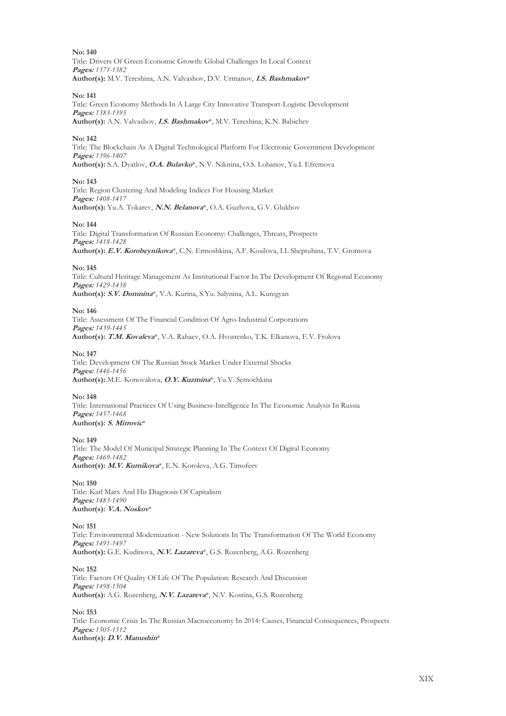**No: 140** Title: Drivers Of Green Economic Growth: Global Challenges In Local Context **Pages:** *1371-1382* **Author(s):** M.V. Tereshina, A.N. Valvashov, D.V. Urmanov, **I.S. Bashmakov**\*

#### **No: 141**

Title: Green Economy Methods In A Large City Innovative Transport-Logistic Development **Pages:** *1383-1395* **Author(s):** A.N. Valvashov, **I.S. Bashmakov**\*, M.V. Tereshina, K.N. Babichev

#### **No: 142**

Title: The Blockchain As A Digital Technological Platform For Electronic Government Development **Pages:** *1396-1407* **Author(s):** S.A. Dyatlov, **O.A. Bulavko**\*, N.V. Nikitina, O.S. Lobanov, Yu.I. Efremova

#### **No: 143**

Title: Region Clustering And Modeling Indices For Housing Market **Pages:** *1408-1417* **Author(s):** Yu.A. Tokarev, **N.N. Belanova**\*, O.A. Guzhova, G.V. Glukhov

#### **No: 144**

Title: Digital Transformation Of Russian Economy: Challenges, Threats, Prospects **Pages:** *1418-1428* **Author(s): E.V. Korobeynikova**\*, C.N. Ermoshkina, A.F. Kosilova, I.I. Sheptuhina, T.V. Gromova

#### **No: 145**

Title: Cultural Heritage Management As Institutional Factor In The Development Of Regional Economy **Pages:** *1429-1438* **Author(s): S.V. Domnina**\*, V.A. Kurina, S.Yu. Salynina, A.L. Kuregyan

#### **No: 146**

Title: Assessment Of The Financial Condition Of Agro-Industrial Corporations **Pages:** *1439-1445* **Author(s): T.M. Kovaleva**\*, V.A. Rahaev, O.A. Hvostenko, T.K. Elkanova, E.V. Frolova

#### **No: 147**

Title: Development Of The Russian Stock Market Under External Shocks **Pages:** *1446-1456* **Author(s):** M.E. Konovalova, **O.Y. Kuzmina**\*, Yu.V. Semochkina

#### **No: 148**

Title: International Practices Of Using Business-Intelligence In The Economic Analysis In Russia **Pages:** *1457-1468* **Author(s): S. Mitrovic**\*

#### **No: 149**

Title: The Model Of Municipal Strategic Planning In The Context Of Digital Economy **Pages:** *1469-1482* **Author(s): M.V. Kurnikova**\*, E.N. Koroleva, A.G. Timofeev

#### **No: 150** Title: Karl Marx And His Diagnosis Of Capitalism **Pages:** *1483-1490* **Author(s): V.A. Noskov**\*

**No: 151** Title: Environmental Modernization - New Solutions In The Transformation Of The World Economy **Pages:** *1491-1497* **Author(s):** G.E. Kudinova, **N.V. Lazareva**\*, G.S. Rozenberg, A.G. Rozenberg

**No: 152**

Title: Factors Of Quality Of Life Of The Population: Research And Discussion **Pages:** *1498-1504* **Author(s):** A.G. Rozenberg, **N.V. Lazareva**\*, N.V. Kostina, G.S. Rozenberg

**No: 153**

Title: Economic Crisis In The Russian Macroeconomy In 2014: Causes, Financial Consequences, Prospects **Pages:** *1505-1512* **Author(s): D.V. Manushin**\*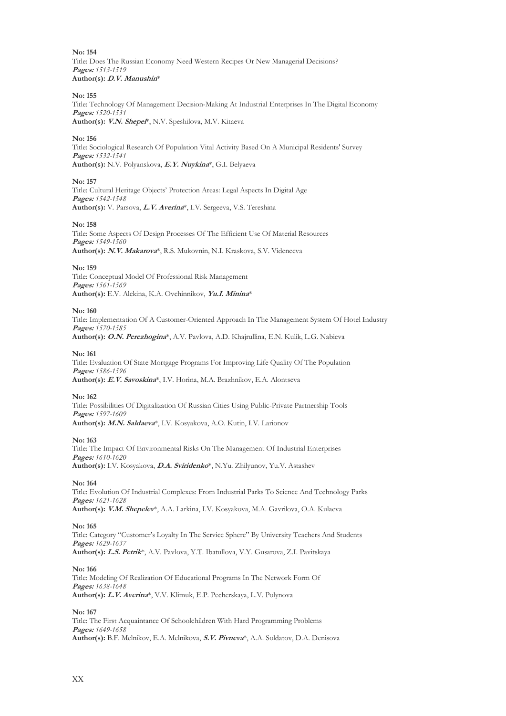**No: 154** Title: Does The Russian Economy Need Western Recipes Or New Managerial Decisions? **Pages:** *1513-1519* **Author(s): D.V. Manushin**\*

**No: 155**

Title: Technology Of Management Decision-Making At Industrial Enterprises In The Digital Economy **Pages:** *1520-1531* **Author(s): V.N. Shepel**\*, N.V. Speshilova, M.V. Kitaeva

**No: 156**

Title: Sociological Research Of Population Vital Activity Based On A Municipal Residents' Survey **Pages:** *1532-1541* **Author(s):** N.V. Polyanskova, **E.Y. Nuykina**\*, G.I. Belyaeva

**No: 157**

Title: Cultural Heritage Objects' Protection Areas: Legal Aspects In Digital Age **Pages:** *1542-1548* **Author(s):** V. Parsova, **L.V. Averina**\*, I.V. Sergeeva, V.S. Tereshina

**No: 158**

Title: Some Aspects Of Design Processes Of The Efficient Use Of Material Resources **Pages:** *1549-1560* **Author(s): N.V. Makarova**\*, R.S. Mukovnin, N.I. Kraskova, S.V. Videneeva

**No: 159**

Title: Conceptual Model Of Professional Risk Management **Pages:** *1561-1569* **Author(s):** E.V. Alekina, K.A. Ovchinnikov, **Yu.I. Minina**\*

**No: 160**

Title: Implementation Of A Customer-Oriented Approach In The Management System Of Hotel Industry **Pages:** *1570-1585*

**Author(s): O.N. Perezhogina**\*, A.V. Pavlova, A.D. Khajrullina, E.N. Kulik, L.G. Nabieva

**No: 161**

Title: Evaluation Of State Mortgage Programs For Improving Life Quality Of The Population **Pages:** *1586-1596* **Author(s): E.V. Savoskina**\*, I.V. Horina, M.A. Brazhnikov, E.A. Alontseva

**No: 162**

Title: Possibilities Of Digitalization Of Russian Cities Using Public-Private Partnership Tools **Pages:** *1597-1609* **Author(s): M.N. Saldaeva**\*, I.V. Kosyakova, A.O. Kutin, I.V. Larionov

**No: 163**

Title: The Impact Of Environmental Risks On The Management Of Industrial Enterprises **Pages:** *1610-1620* **Author(s):** I.V. Kosyakova, **D.A. Sviridenko**\*, N.Yu. Zhilyunov, Yu.V. Astashev

**No: 164**

Title: Evolution Of Industrial Complexes: From Industrial Parks To Science And Technology Parks **Pages:** *1621-1628* **Author(s): V.M. Shepelev**\*, A.A. Larkinа, I.V. Kosyakova, M.A. Gavrilova, O.A. Kulaeva

**No: 165**

Title: Category "Customer's Loyalty In The Service Sphere" By University Teachers And Students **Pages:** *1629-1637* **Author(s): L.S. Petrik**\*, A.V. Pavlova, Y.T. Ibatullova, V.Y. Gusarova, Z.I. Pavitskaya

**No: 166**

Title: Modeling Of Realization Of Educational Programs In The Network Form Of **Pages:** *1638-1648* **Author(s): L.V. Averina**\*, V.V. Klimuk, E.P. Pecherskaya, L.V. Polynova

**No: 167**

Title: The First Acquaintance Of Schoolchildren With Hard Programming Problems **Pages:** *1649-1658* **Author(s):** B.F. Melnikov, E.A. Melnikova, **S.V. Pivneva**\*, A.A. Soldatov, D.A. Denisova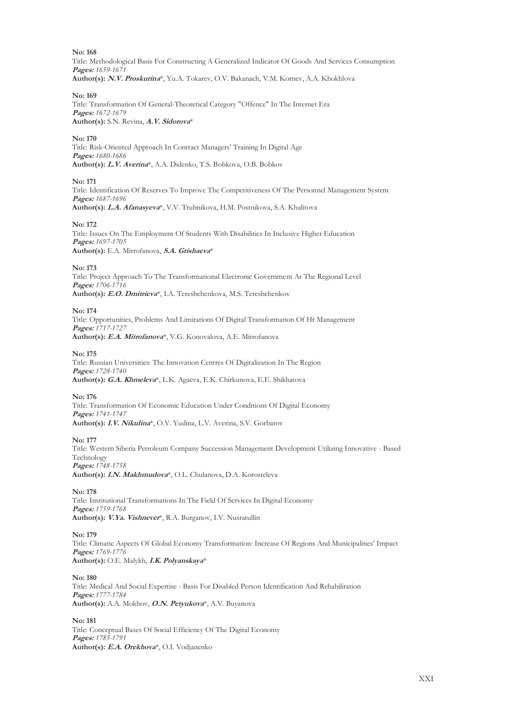**No: 168** Title: Methodological Basis For Constructing A Generalized Indicator Of Goods And Services Consumption **Pages:** *1659-1671* **Author(s): N.V. Proskurina**\*, Yu.A. Tokarev, O.V. Bakanach, V.M. Kornev, A.A. Khokhlova

**No: 169**

Title: Transformation Of General-Theoretical Category "Offence" In The Internet Era **Pages:** *1672-1679* **Author(s):** S.N. Revina, **A.V. Sidorova**\*

**No: 170** Title: Risk-Oriented Approach In Contract Managers' Training In Digital Age **Pages:** *1680-1686* **Author(s): L.V. Averina**\*, A.A. Didenko, T.S. Bobkova, O.B. Bobkov

**No: 171**

Title: Identification Of Reserves To Improve The Competitiveness Of The Personnel Management System **Pages:** *1687-1696* **Author(s): L.A. Afanasyeva**\*, V.V. Trubnikova, H.M. Postnikova, S.A. Khalitova

**No: 172**

Title: Issues On The Employment Of Students With Disabilities In Inclusive Higher Education **Pages:** *1697-1705* **Author(s):** E.A. Mitrofanova, **S.A. Grishaeva**\*

**No: 173**

Title: Project Approach To The Transformational Electronic Government At The Regional Level **Pages:** *1706-1716* **Author(s): E.O. Dmitrieva**\*, I.A. Tereshchenkova, M.S. Tereshchenkov

**No: 174**

Title: Opportunities, Problems And Limitations Of Digital Transformation Of Hr Management **Pages:** *1717-1727* **Author(s): E.A. Mitrofanova**\*, V.G. Konovalova, A.E. Mitrofanova

**No: 175**

Title: Russian Universities: The Innovation Centres Of Digitalization In The Region **Pages:** *1728-1740* **Author(s): G.A. Khmeleva**\*, L.K. Agaeva, E.K. Chirkunova, E.E. Shikhatova

**No: 176**

Title: Transformation Of Economic Education Under Conditions Of Digital Economy **Pages:** *1741-1747* **Author(s): I.V. Nikulina**\*, O.V. Yudina, L.V. Averina, S.V. Gorbatov

**No: 177**

Title: Western Siberia Petroleum Company Succession Management Development Utilizing Innovative - Based Technology **Pages:** *1748-1758*

**Author(s): I.N. Makhmudova**\*, O.L. Chulanova, D.A. Korosteleva

**No: 178**

Title: Institutional Transformations In The Field Of Services In Digital Economy **Pages:** *1759-1768* **Author(s): V.Ya. Vishnever**\*, R.A. Burganov, I.V. Nusratullin

**No: 179**

Title: Climatic Aspects Of Global Economy Transformation: Increase Of Regions And Municipalities' Impact **Pages:** *1769-1776* **Author(s):** O.E. Malykh, **I.K. Polyanskaya**\*

**No: 180**

Title: Medical And Social Expertise - Basis For Disabled Person Identification And Rehabilitation **Pages:** *1777-1784* **Author(s):** A.A. Mokhov, **O.N. Petyukova**\*, A.V. Buyanova

**No: 181** Title: Conceptual Bases Of Social Efficiency Of The Digital Economy **Pages:** *1785-1791* **Author(s): E.A. Orekhova**\*, O.I. Vodjanenko